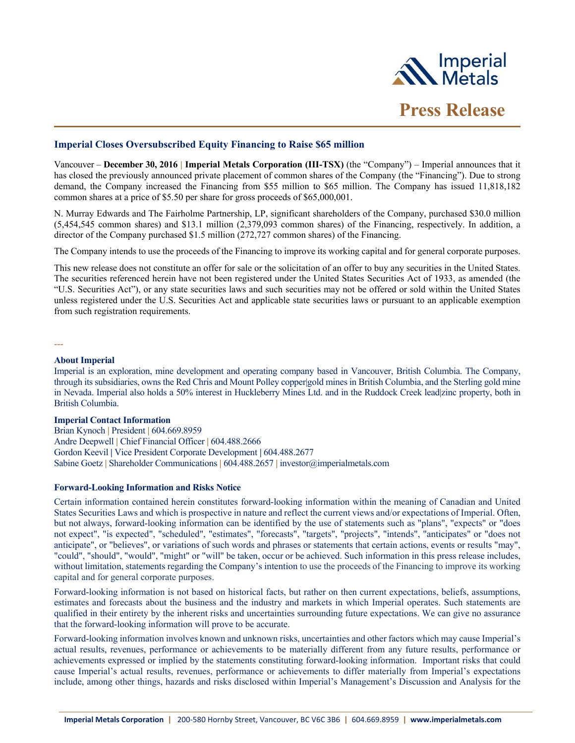

## **Imperial Closes Oversubscribed Equity Financing to Raise \$65 million**

Vancouver – **December 30, 2016 | Imperial Metals Corporation (III-TSX)** (the "Company") – Imperial announces that it has closed the previously announced private placement of common shares of the Company (the "Financing"). Due to strong demand, the Company increased the Financing from \$55 million to \$65 million. The Company has issued 11,818,182 common shares at a price of \$5.50 per share for gross proceeds of \$65,000,001.

N. Murray Edwards and The Fairholme Partnership, LP, significant shareholders of the Company, purchased \$30.0 million (5,454,545 common shares) and \$13.1 million (2,379,093 common shares) of the Financing, respectively. In addition, a director of the Company purchased \$1.5 million (272,727 common shares) of the Financing.

The Company intends to use the proceeds of the Financing to improve its working capital and for general corporate purposes.

This new release does not constitute an offer for sale or the solicitation of an offer to buy any securities in the United States. The securities referenced herein have not been registered under the United States Securities Act of 1933, as amended (the "U.S. Securities Act"), or any state securities laws and such securities may not be offered or sold within the United States unless registered under the U.S. Securities Act and applicable state securities laws or pursuant to an applicable exemption from such registration requirements.

---

## **About Imperial**

Imperial is an exploration, mine development and operating company based in Vancouver, British Columbia. The Company, through its subsidiaries, owns the Red Chris and Mount Polley copper|gold mines in British Columbia, and the Sterling gold mine in Nevada. Imperial also holds a 50% interest in Huckleberry Mines Ltd. and in the Ruddock Creek lead|zinc property, both in British Columbia.

## **Imperial Contact Information**

Brian Kynoch **|** President **|** 604.669.8959 Andre Deepwell **|** Chief Financial Officer **|** 604.488.2666 Gordon Keevil **|** Vice President Corporate Development **|** 604.488.2677 Sabine Goetz **|** Shareholder Communications **|** 604.488.2657 **|** investor@imperialmetals.com

## **Forward-Looking Information and Risks Notice**

Certain information contained herein constitutes forward-looking information within the meaning of Canadian and United States Securities Laws and which is prospective in nature and reflect the current views and/or expectations of Imperial. Often, but not always, forward-looking information can be identified by the use of statements such as "plans", "expects" or "does not expect", "is expected", "scheduled", "estimates", "forecasts", "targets", "projects", "intends", "anticipates" or "does not anticipate", or "believes", or variations of such words and phrases or statements that certain actions, events or results "may", "could", "should", "would", "might" or "will" be taken, occur or be achieved. Such information in this press release includes, without limitation, statements regarding the Company's intention to use the proceeds of the Financing to improve its working capital and for general corporate purposes.

Forward-looking information is not based on historical facts, but rather on then current expectations, beliefs, assumptions, estimates and forecasts about the business and the industry and markets in which Imperial operates. Such statements are qualified in their entirety by the inherent risks and uncertainties surrounding future expectations. We can give no assurance that the forward-looking information will prove to be accurate.

Forward-looking information involves known and unknown risks, uncertainties and other factors which may cause Imperial's actual results, revenues, performance or achievements to be materially different from any future results, performance or achievements expressed or implied by the statements constituting forward-looking information. Important risks that could cause Imperial's actual results, revenues, performance or achievements to differ materially from Imperial's expectations include, among other things, hazards and risks disclosed within Imperial's Management's Discussion and Analysis for the